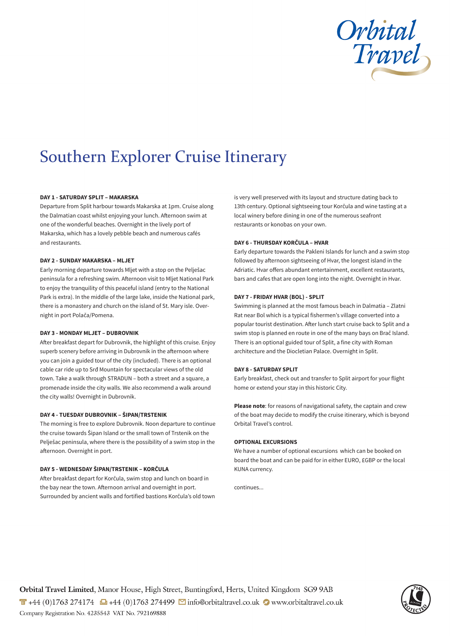

# Southern Explorer Cruise Itinerary

## **DAY 1 - SATURDAY SPLIT – MAKARSKA**

Departure from Split harbour towards Makarska at 1pm. Cruise along the Dalmatian coast whilst enjoying your lunch. Afternoon swim at one of the wonderful beaches. Overnight in the lively port of Makarska, which has a lovely pebble beach and numerous cafés and restaurants.

#### **DAY 2 - SUNDAY MAKARSKA – MLJET**

Early morning departure towards Mljet with a stop on the Pelješac peninsula for a refreshing swim. Afternoon visit to Mljet National Park to enjoy the tranquility of this peaceful island (entry to the National Park is extra). In the middle of the large lake, inside the National park, there is a monastery and church on the island of St. Mary isle. Overnight in port Polača/Pomena.

#### **DAY 3 - MONDAY MLJET – DUBROVNIK**

After breakfast depart for Dubrovnik, the highlight of this cruise. Enjoy superb scenery before arriving in Dubrovnik in the afternoon where you can join a guided tour of the city (included). There is an optional cable car ride up to Srđ Mountain for spectacular views of the old town. Take a walk through STRADUN – both a street and a square, a promenade inside the city walls. We also recommend a walk around the city walls! Overnight in Dubrovnik.

#### **DAY 4 - TUESDAY DUBROVNIK – ŠIPAN/TRSTENIK**

The morning is free to explore Dubrovnik. Noon departure to continue the cruise towards Šipan Island or the small town of Trstenik on the Pelješac peninsula, where there is the possibility of a swim stop in the afternoon. Overnight in port.

### **DAY 5 - WEDNESDAY ŠIPAN/TRSTENIK – KORČULA**

After breakfast depart for Korčula, swim stop and lunch on board in the bay near the town. Afternoon arrival and overnight in port. Surrounded by ancient walls and fortified bastions Korčula's old town is very well preserved with its layout and structure dating back to 13th century. Optional sightseeing tour Korčula and wine tasting at a local winery before dining in one of the numerous seafront restaurants or konobas on your own.

### **DAY 6 - THURSDAY KORČULA – HVAR**

Early departure towards the Pakleni Islands for lunch and a swim stop followed by afternoon sightseeing of Hvar, the longest island in the Adriatic. Hvar offers abundant entertainment, excellent restaurants, bars and cafes that are open long into the night. Overnight in Hvar.

### **DAY 7 - FRIDAY HVAR (BOL) - SPLIT**

Swimming is planned at the most famous beach in Dalmatia – Zlatni Rat near Bol which is a typical fishermen's village converted into a popular tourist destination. After lunch start cruise back to Split and a swim stop is planned en route in one of the many bays on Brač Island. There is an optional guided tour of Split, a fine city with Roman architecture and the Diocletian Palace. Overnight in Split.

### **DAY 8 - SATURDAY SPLIT**

Early breakfast, check out and transfer to Split airport for your flight home or extend your stay in this historic City.

**Please note**: for reasons of navigational safety, the captain and crew of the boat may decide to modify the cruise itinerary, which is beyond Orbital Travel's control.

#### **OPTIONAL EXCURSIONS**

We have a number of optional excursions which can be booked on board the boat and can be paid for in either EURO, £GBP or the local KUNA currency.

continues...